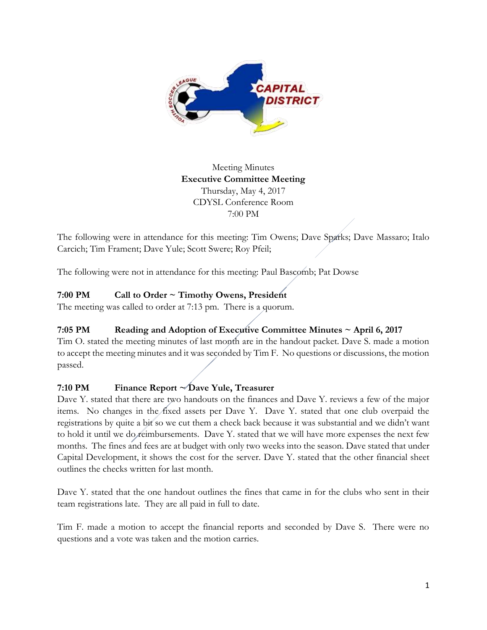

## Meeting Minutes **Executive Committee Meeting**  Thursday, May 4, 2017 CDYSL Conference Room 7:00 PM

The following were in attendance for this meeting: Tim Owens; Dave Sparks; Dave Massaro; Italo Carcich; Tim Frament; Dave Yule; Scott Swere; Roy Pfeil;

The following were not in attendance for this meeting: Paul Bascomb; Pat Dowse

# **7:00 PM Call to Order ~ Timothy Owens, President**

The meeting was called to order at 7:13 pm. There is a quorum.

# **7:05 PM Reading and Adoption of Executive Committee Minutes ~ April 6, 2017**

Tim O. stated the meeting minutes of last month are in the handout packet. Dave S. made a motion to accept the meeting minutes and it was seconded by Tim F. No questions or discussions, the motion passed.

## **7:10 PM Finance Report ~ Dave Yule, Treasurer**

Dave Y. stated that there are two handouts on the finances and Dave Y. reviews a few of the major items. No changes in the fixed assets per Dave Y. Dave Y. stated that one club overpaid the registrations by quite a bit so we cut them a check back because it was substantial and we didn't want to hold it until we do reimbursements. Dave Y. stated that we will have more expenses the next few months. The fines and fees are at budget with only two weeks into the season. Dave stated that under Capital Development, it shows the cost for the server. Dave Y. stated that the other financial sheet outlines the checks written for last month.

Dave Y. stated that the one handout outlines the fines that came in for the clubs who sent in their team registrations late. They are all paid in full to date.

Tim F. made a motion to accept the financial reports and seconded by Dave S. There were no questions and a vote was taken and the motion carries.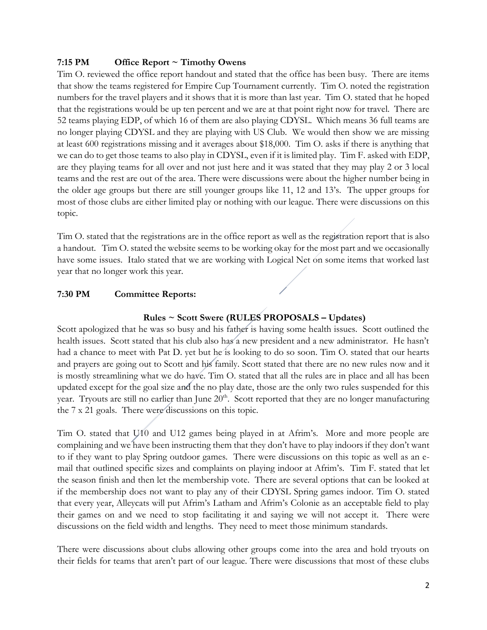### **7:15 PM Office Report ~ Timothy Owens**

Tim O. reviewed the office report handout and stated that the office has been busy. There are items that show the teams registered for Empire Cup Tournament currently. Tim O. noted the registration numbers for the travel players and it shows that it is more than last year. Tim O. stated that he hoped that the registrations would be up ten percent and we are at that point right now for travel. There are 52 teams playing EDP, of which 16 of them are also playing CDYSL. Which means 36 full teams are no longer playing CDYSL and they are playing with US Club. We would then show we are missing at least 600 registrations missing and it averages about \$18,000. Tim O. asks if there is anything that we can do to get those teams to also play in CDYSL, even if it is limited play. Tim F. asked with EDP, are they playing teams for all over and not just here and it was stated that they may play 2 or 3 local teams and the rest are out of the area. There were discussions were about the higher number being in the older age groups but there are still younger groups like 11, 12 and 13's. The upper groups for most of those clubs are either limited play or nothing with our league. There were discussions on this topic.

Tim O. stated that the registrations are in the office report as well as the registration report that is also a handout. Tim O. stated the website seems to be working okay for the most part and we occasionally have some issues. Italo stated that we are working with Logical Net on some items that worked last year that no longer work this year.

### **7:30 PM Committee Reports:**

### **Rules ~ Scott Swere (RULES PROPOSALS – Updates)**

Scott apologized that he was so busy and his father is having some health issues. Scott outlined the health issues. Scott stated that his club also has a new president and a new administrator. He hasn't had a chance to meet with Pat D. yet but he is looking to do so soon. Tim O. stated that our hearts and prayers are going out to Scott and his family. Scott stated that there are no new rules now and it is mostly streamlining what we do have. Tim O. stated that all the rules are in place and all has been updated except for the goal size and the no play date, those are the only two rules suspended for this year. Tryouts are still no earlier than June 20<sup>th</sup>. Scott reported that they are no longer manufacturing the 7 x 21 goals. There were discussions on this topic.

Tim O. stated that U10 and U12 games being played in at Afrim's. More and more people are complaining and we have been instructing them that they don't have to play indoors if they don't want to if they want to play Spring outdoor games. There were discussions on this topic as well as an email that outlined specific sizes and complaints on playing indoor at Afrim's. Tim F. stated that let the season finish and then let the membership vote. There are several options that can be looked at if the membership does not want to play any of their CDYSL Spring games indoor. Tim O. stated that every year, Alleycats will put Afrim's Latham and Afrim's Colonie as an acceptable field to play their games on and we need to stop facilitating it and saying we will not accept it. There were discussions on the field width and lengths. They need to meet those minimum standards.

There were discussions about clubs allowing other groups come into the area and hold tryouts on their fields for teams that aren't part of our league. There were discussions that most of these clubs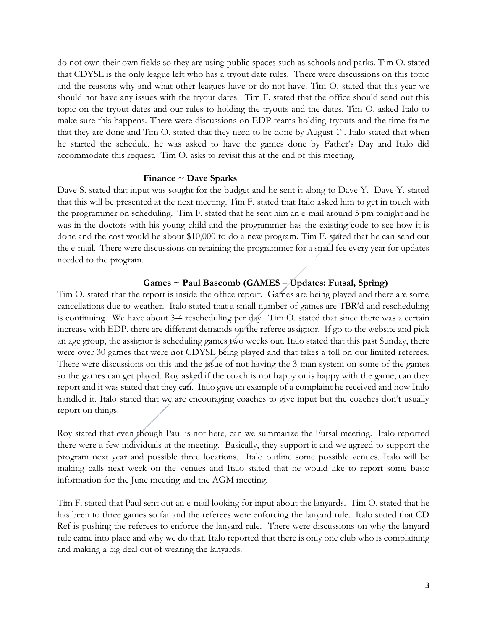do not own their own fields so they are using public spaces such as schools and parks. Tim O. stated that CDYSL is the only league left who has a tryout date rules. There were discussions on this topic and the reasons why and what other leagues have or do not have. Tim O. stated that this year we should not have any issues with the tryout dates. Tim F. stated that the office should send out this topic on the tryout dates and our rules to holding the tryouts and the dates. Tim O. asked Italo to make sure this happens. There were discussions on EDP teams holding tryouts and the time frame that they are done and Tim O. stated that they need to be done by August 1<sup>st</sup>. Italo stated that when he started the schedule, he was asked to have the games done by Father's Day and Italo did accommodate this request. Tim O. asks to revisit this at the end of this meeting.

#### **Finance ~ Dave Sparks**

Dave S. stated that input was sought for the budget and he sent it along to Dave Y. Dave Y. stated that this will be presented at the next meeting. Tim F. stated that Italo asked him to get in touch with the programmer on scheduling. Tim F. stated that he sent him an e-mail around 5 pm tonight and he was in the doctors with his young child and the programmer has the existing code to see how it is done and the cost would be about \$10,000 to do a new program. Tim F. stated that he can send out the e-mail. There were discussions on retaining the programmer for a small fee every year for updates needed to the program.

#### **Games ~ Paul Bascomb (GAMES – Updates: Futsal, Spring)**

Tim O. stated that the report is inside the office report. Games are being played and there are some cancellations due to weather. Italo stated that a small number of games are TBR'd and rescheduling is continuing. We have about 3-4 rescheduling per day. Tim O. stated that since there was a certain increase with EDP, there are different demands on the referee assignor. If go to the website and pick an age group, the assignor is scheduling games two weeks out. Italo stated that this past Sunday, there were over 30 games that were not CDYSL being played and that takes a toll on our limited referees. There were discussions on this and the issue of not having the 3-man system on some of the games so the games can get played. Roy asked if the coach is not happy or is happy with the game, can they report and it was stated that they can. Italo gave an example of a complaint he received and how Italo handled it. Italo stated that we are encouraging coaches to give input but the coaches don't usually report on things.

Roy stated that even though Paul is not here, can we summarize the Futsal meeting. Italo reported there were a few individuals at the meeting. Basically, they support it and we agreed to support the program next year and possible three locations. Italo outline some possible venues. Italo will be making calls next week on the venues and Italo stated that he would like to report some basic information for the June meeting and the AGM meeting.

Tim F. stated that Paul sent out an e-mail looking for input about the lanyards. Tim O. stated that he has been to three games so far and the referees were enforcing the lanyard rule. Italo stated that CD Ref is pushing the referees to enforce the lanyard rule. There were discussions on why the lanyard rule came into place and why we do that. Italo reported that there is only one club who is complaining and making a big deal out of wearing the lanyards.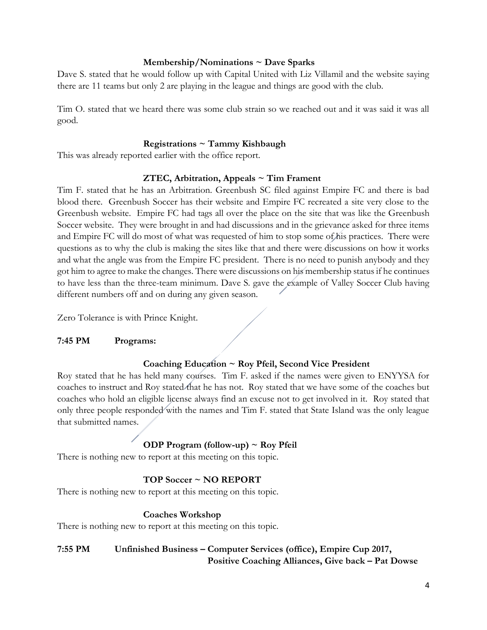#### **Membership/Nominations ~ Dave Sparks**

Dave S. stated that he would follow up with Capital United with Liz Villamil and the website saying there are 11 teams but only 2 are playing in the league and things are good with the club.

Tim O. stated that we heard there was some club strain so we reached out and it was said it was all good.

#### **Registrations ~ Tammy Kishbaugh**

This was already reported earlier with the office report.

#### **ZTEC, Arbitration, Appeals ~ Tim Frament**

Tim F. stated that he has an Arbitration. Greenbush SC filed against Empire FC and there is bad blood there. Greenbush Soccer has their website and Empire FC recreated a site very close to the Greenbush website. Empire FC had tags all over the place on the site that was like the Greenbush Soccer website. They were brought in and had discussions and in the grievance asked for three items and Empire FC will do most of what was requested of him to stop some of his practices. There were questions as to why the club is making the sites like that and there were discussions on how it works and what the angle was from the Empire FC president. There is no need to punish anybody and they got him to agree to make the changes. There were discussions on his membership status if he continues to have less than the three-team minimum. Dave S. gave the example of Valley Soccer Club having different numbers off and on during any given season.

Zero Tolerance is with Prince Knight.

#### **7:45 PM Programs:**

#### **Coaching Education ~ Roy Pfeil, Second Vice President**

Roy stated that he has held many courses. Tim F. asked if the names were given to ENYYSA for coaches to instruct and Roy stated that he has not. Roy stated that we have some of the coaches but coaches who hold an eligible license always find an excuse not to get involved in it. Roy stated that only three people responded with the names and Tim F. stated that State Island was the only league that submitted names.

## **ODP Program (follow-up) ~ Roy Pfeil**

There is nothing new to report at this meeting on this topic.

### **TOP Soccer ~ NO REPORT**

There is nothing new to report at this meeting on this topic.

#### **Coaches Workshop**

There is nothing new to report at this meeting on this topic.

## **7:55 PM Unfinished Business – Computer Services (office), Empire Cup 2017, Positive Coaching Alliances, Give back – Pat Dowse**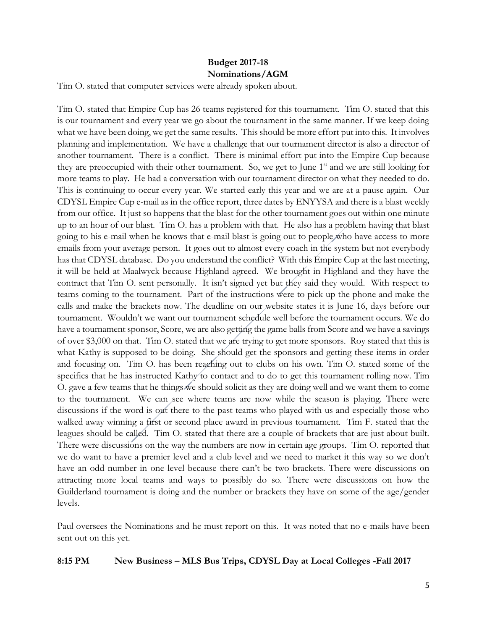## **Budget 2017-18 Nominations/AGM**

Tim O. stated that computer services were already spoken about.

Tim O. stated that Empire Cup has 26 teams registered for this tournament. Tim O. stated that this is our tournament and every year we go about the tournament in the same manner. If we keep doing what we have been doing, we get the same results. This should be more effort put into this. It involves planning and implementation. We have a challenge that our tournament director is also a director of another tournament. There is a conflict. There is minimal effort put into the Empire Cup because they are preoccupied with their other tournament. So, we get to June 1<sup>st</sup> and we are still looking for more teams to play. He had a conversation with our tournament director on what they needed to do. This is continuing to occur every year. We started early this year and we are at a pause again. Our CDYSL Empire Cup e-mail as in the office report, three dates by ENYYSA and there is a blast weekly from our office. It just so happens that the blast for the other tournament goes out within one minute up to an hour of our blast. Tim O. has a problem with that. He also has a problem having that blast going to his e-mail when he knows that e-mail blast is going out to people who have access to more emails from your average person. It goes out to almost every coach in the system but not everybody has that CDYSL database. Do you understand the conflict? With this Empire Cup at the last meeting, it will be held at Maalwyck because Highland agreed. We brought in Highland and they have the contract that Tim O. sent personally. It isn't signed yet but they said they would. With respect to teams coming to the tournament. Part of the instructions were to pick up the phone and make the calls and make the brackets now. The deadline on our website states it is June 16, days before our tournament. Wouldn't we want our tournament schedule well before the tournament occurs. We do have a tournament sponsor, Score, we are also getting the game balls from Score and we have a savings of over \$3,000 on that. Tim O. stated that we are trying to get more sponsors. Roy stated that this is what Kathy is supposed to be doing. She should get the sponsors and getting these items in order and focusing on. Tim O. has been reaching out to clubs on his own. Tim O. stated some of the specifics that he has instructed Kathy to contact and to do to get this tournament rolling now. Tim O. gave a few teams that he things we should solicit as they are doing well and we want them to come to the tournament. We can see where teams are now while the season is playing. There were discussions if the word is out there to the past teams who played with us and especially those who walked away winning a first or second place award in previous tournament. Tim F. stated that the leagues should be called. Tim O. stated that there are a couple of brackets that are just about built. There were discussions on the way the numbers are now in certain age groups. Tim O. reported that we do want to have a premier level and a club level and we need to market it this way so we don't have an odd number in one level because there can't be two brackets. There were discussions on attracting more local teams and ways to possibly do so. There were discussions on how the Guilderland tournament is doing and the number or brackets they have on some of the age/gender levels.

Paul oversees the Nominations and he must report on this. It was noted that no e-mails have been sent out on this yet.

#### **8:15 PM New Business – MLS Bus Trips, CDYSL Day at Local Colleges -Fall 2017**